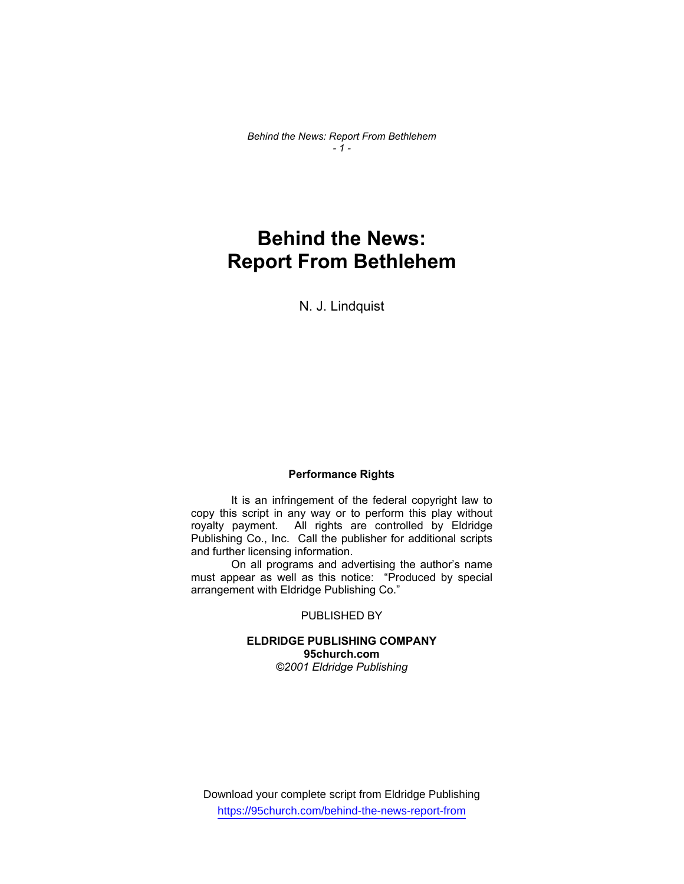*Behind the News: Report From Bethlehem - 1 -* 

# **Behind the News: Report From Bethlehem**

N. J. Lindquist

#### **Performance Rights**

 It is an infringement of the federal copyright law to copy this script in any way or to perform this play without royalty payment. All rights are controlled by Eldridge Publishing Co., Inc. Call the publisher for additional scripts and further licensing information.

 On all programs and advertising the author's name must appear as well as this notice: "Produced by special arrangement with Eldridge Publishing Co."

# PUBLISHED BY

# **ELDRIDGE PUBLISHING COMPANY 95church.com**  *©2001 Eldridge Publishing*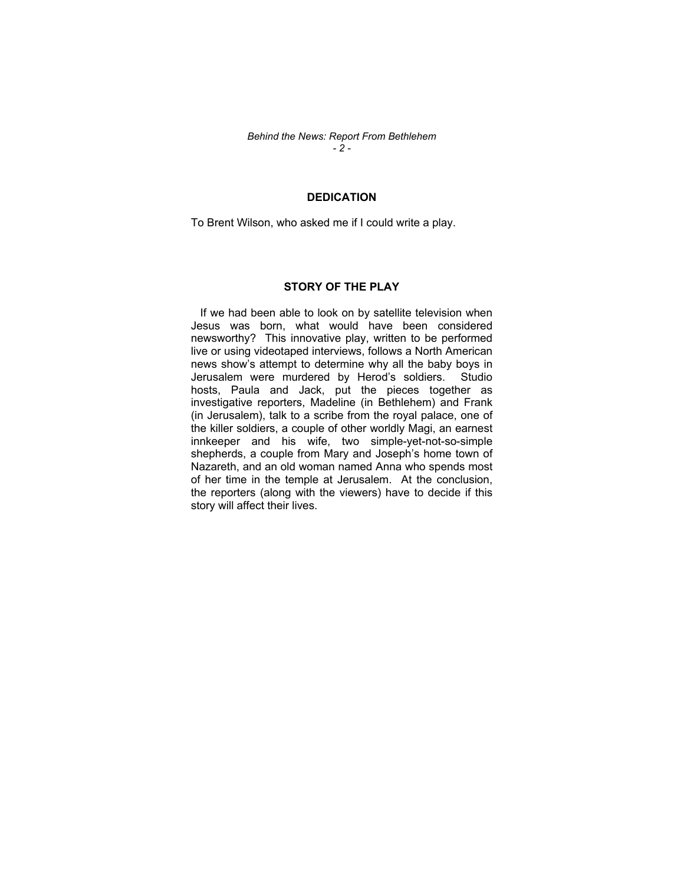#### *Behind the News: Report From Bethlehem - 2 -*

# **DEDICATION**

To Brent Wilson, who asked me if I could write a play.

# **STORY OF THE PLAY**

 If we had been able to look on by satellite television when Jesus was born, what would have been considered newsworthy? This innovative play, written to be performed live or using videotaped interviews, follows a North American news show's attempt to determine why all the baby boys in Jerusalem were murdered by Herod's soldiers. Studio hosts, Paula and Jack, put the pieces together as investigative reporters, Madeline (in Bethlehem) and Frank (in Jerusalem), talk to a scribe from the royal palace, one of the killer soldiers, a couple of other worldly Magi, an earnest innkeeper and his wife, two simple-yet-not-so-simple shepherds, a couple from Mary and Joseph's home town of Nazareth, and an old woman named Anna who spends most of her time in the temple at Jerusalem. At the conclusion, the reporters (along with the viewers) have to decide if this story will affect their lives.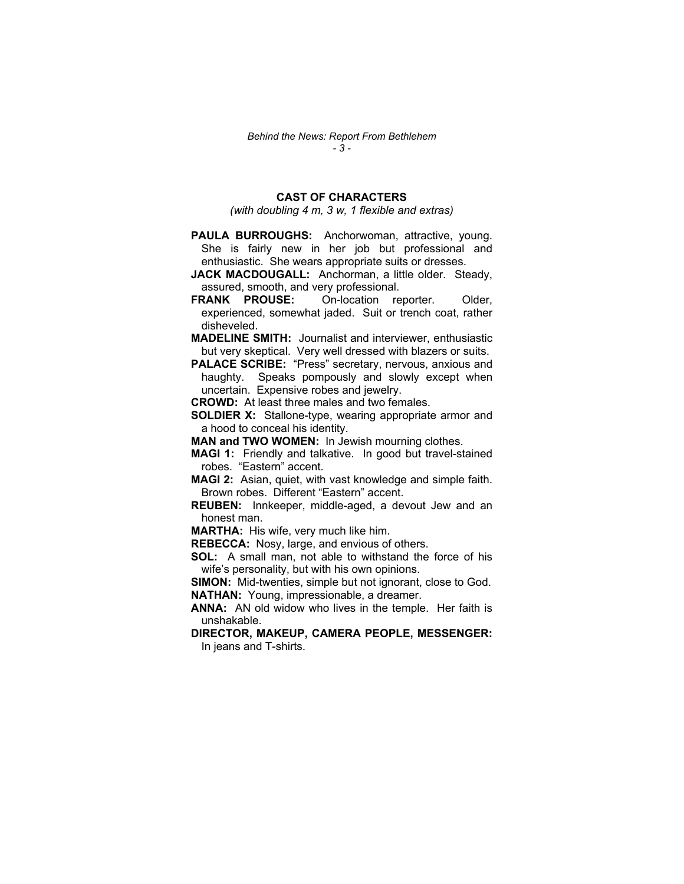# **CAST OF CHARACTERS**

*(with doubling 4 m, 3 w, 1 flexible and extras)*

- PAULA BURROUGHS: Anchorwoman, attractive, young. She is fairly new in her job but professional and enthusiastic. She wears appropriate suits or dresses.
- **JACK MACDOUGALL:** Anchorman, a little older. Steady, assured, smooth, and very professional.
- **FRANK PROUSE:** On-location reporter. Older, experienced, somewhat jaded. Suit or trench coat, rather disheveled.
- **MADELINE SMITH:** Journalist and interviewer, enthusiastic but very skeptical. Very well dressed with blazers or suits.
- PALACE SCRIBE: "Press" secretary, nervous, anxious and haughty. Speaks pompously and slowly except when uncertain. Expensive robes and jewelry.
- **CROWD:** At least three males and two females.
- **SOLDIER X:** Stallone-type, wearing appropriate armor and a hood to conceal his identity.

**MAN and TWO WOMEN:** In Jewish mourning clothes.

- **MAGI 1:** Friendly and talkative. In good but travel-stained robes. "Eastern" accent.
- **MAGI 2:** Asian, quiet, with vast knowledge and simple faith. Brown robes. Different "Eastern" accent.
- **REUBEN:** Innkeeper, middle-aged, a devout Jew and an honest man.
- **MARTHA:** His wife, very much like him.
- **REBECCA:** Nosy, large, and envious of others.
- **SOL:** A small man, not able to withstand the force of his wife's personality, but with his own opinions.
- **SIMON:** Mid-twenties, simple but not ignorant, close to God. **NATHAN:** Young, impressionable, a dreamer.
- **ANNA:** AN old widow who lives in the temple. Her faith is unshakable.
- **DIRECTOR, MAKEUP, CAMERA PEOPLE, MESSENGER:**  In jeans and T-shirts.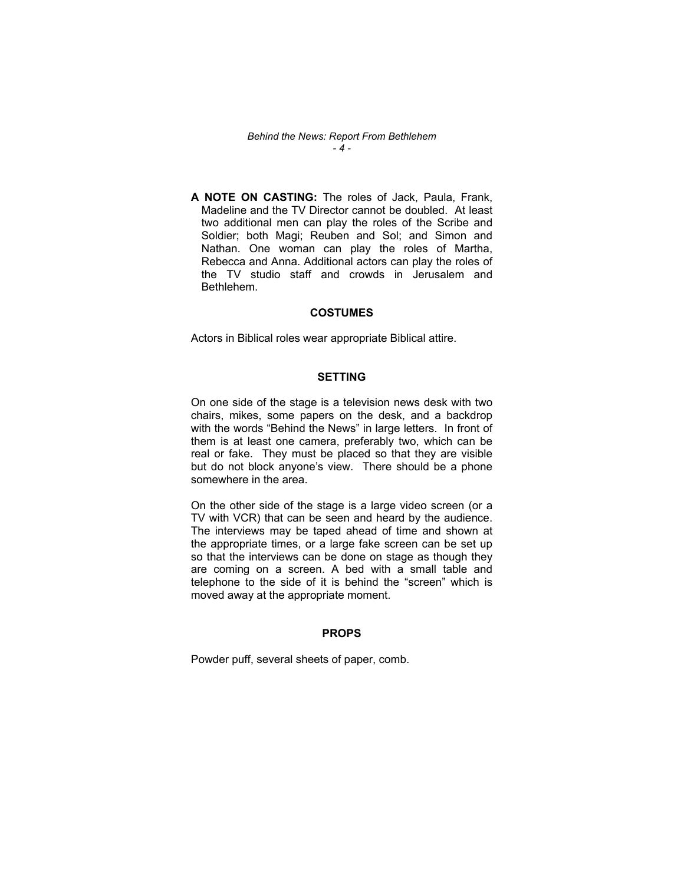*Behind the News: Report From Bethlehem - 4 -* 

**A NOTE ON CASTING:** The roles of Jack, Paula, Frank, Madeline and the TV Director cannot be doubled. At least two additional men can play the roles of the Scribe and Soldier; both Magi; Reuben and Sol; and Simon and Nathan. One woman can play the roles of Martha, Rebecca and Anna. Additional actors can play the roles of the TV studio staff and crowds in Jerusalem and Bethlehem.

### **COSTUMES**

Actors in Biblical roles wear appropriate Biblical attire.

#### **SETTING**

On one side of the stage is a television news desk with two chairs, mikes, some papers on the desk, and a backdrop with the words "Behind the News" in large letters. In front of them is at least one camera, preferably two, which can be real or fake. They must be placed so that they are visible but do not block anyone's view. There should be a phone somewhere in the area.

On the other side of the stage is a large video screen (or a TV with VCR) that can be seen and heard by the audience. The interviews may be taped ahead of time and shown at the appropriate times, or a large fake screen can be set up so that the interviews can be done on stage as though they are coming on a screen. A bed with a small table and telephone to the side of it is behind the "screen" which is moved away at the appropriate moment.

#### **PROPS**

Powder puff, several sheets of paper, comb.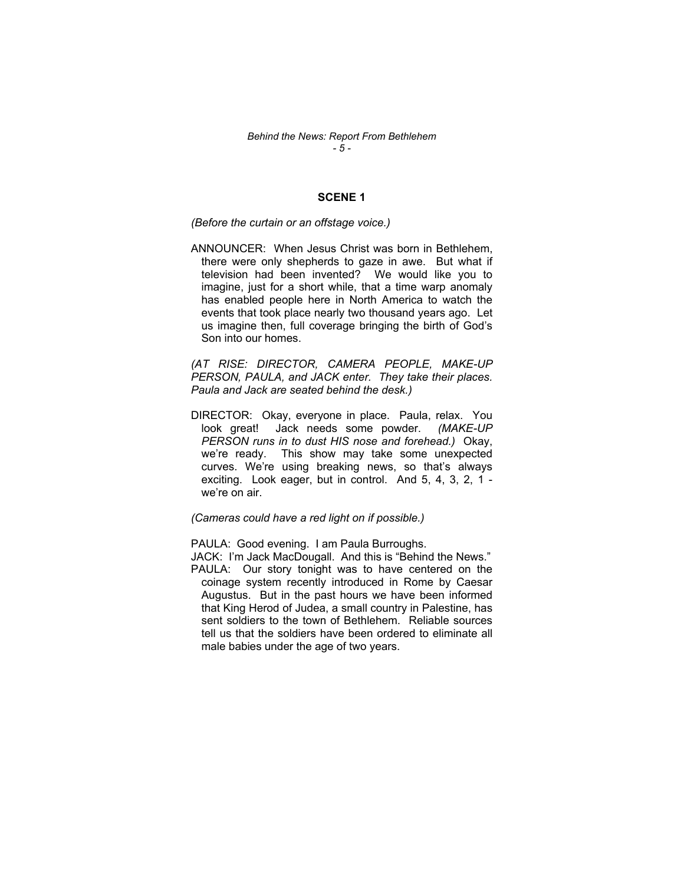#### *Behind the News: Report From Bethlehem - 5 -*

## **SCENE 1**

*(Before the curtain or an offstage voice.)* 

ANNOUNCER: When Jesus Christ was born in Bethlehem, there were only shepherds to gaze in awe. But what if television had been invented? We would like you to imagine, just for a short while, that a time warp anomaly has enabled people here in North America to watch the events that took place nearly two thousand years ago. Let us imagine then, full coverage bringing the birth of God's Son into our homes.

*(AT RISE: DIRECTOR, CAMERA PEOPLE, MAKE-UP PERSON, PAULA, and JACK enter. They take their places. Paula and Jack are seated behind the desk.)* 

DIRECTOR: Okay, everyone in place. Paula, relax. You look great! Jack needs some powder. *(MAKE-UP PERSON runs in to dust HIS nose and forehead.)* Okay, we're ready. This show may take some unexpected curves. We're using breaking news, so that's always exciting. Look eager, but in control. And 5, 4, 3, 2, 1 we're on air.

#### *(Cameras could have a red light on if possible.)*

PAULA: Good evening. I am Paula Burroughs. JACK: I'm Jack MacDougall. And this is "Behind the News." PAULA: Our story tonight was to have centered on the coinage system recently introduced in Rome by Caesar Augustus. But in the past hours we have been informed that King Herod of Judea, a small country in Palestine, has sent soldiers to the town of Bethlehem. Reliable sources tell us that the soldiers have been ordered to eliminate all male babies under the age of two years.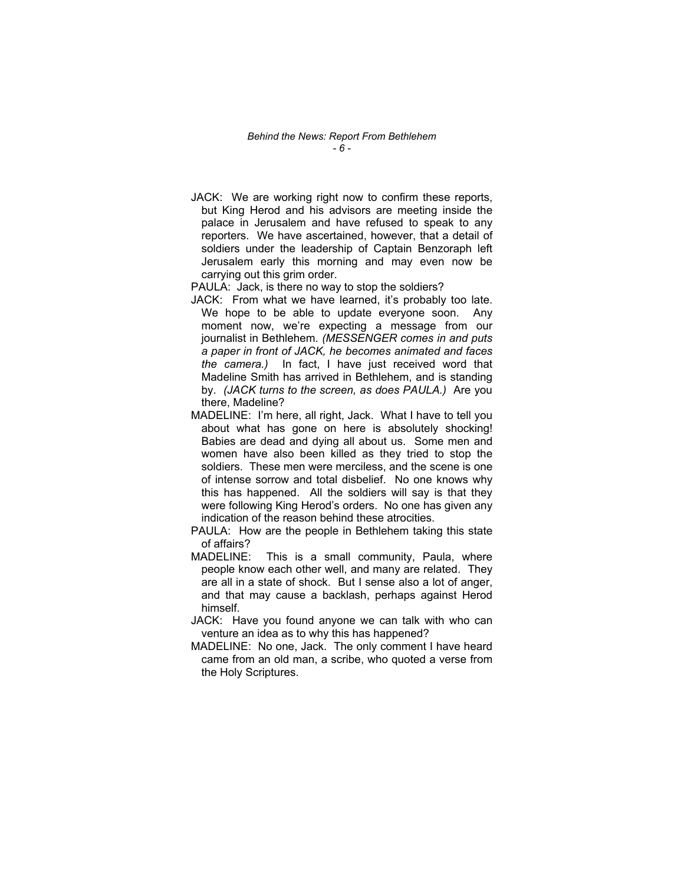#### *Behind the News: Report From Bethlehem - 6 -*

- JACK: We are working right now to confirm these reports, but King Herod and his advisors are meeting inside the palace in Jerusalem and have refused to speak to any reporters. We have ascertained, however, that a detail of soldiers under the leadership of Captain Benzoraph left Jerusalem early this morning and may even now be carrying out this grim order.
- PAULA: Jack, is there no way to stop the soldiers?
- JACK: From what we have learned, it's probably too late. We hope to be able to update everyone soon. Any moment now, we're expecting a message from our journalist in Bethlehem. *(MESSENGER comes in and puts a paper in front of JACK, he becomes animated and faces the camera.)* In fact, I have just received word that Madeline Smith has arrived in Bethlehem, and is standing by. *(JACK turns to the screen, as does PAULA.)* Are you there, Madeline?
- MADELINE: I'm here, all right, Jack. What I have to tell you about what has gone on here is absolutely shocking! Babies are dead and dying all about us. Some men and women have also been killed as they tried to stop the soldiers. These men were merciless, and the scene is one of intense sorrow and total disbelief. No one knows why this has happened. All the soldiers will say is that they were following King Herod's orders. No one has given any indication of the reason behind these atrocities.
- PAULA: How are the people in Bethlehem taking this state of affairs?
- MADELINE: This is a small community, Paula, where people know each other well, and many are related. They are all in a state of shock. But I sense also a lot of anger, and that may cause a backlash, perhaps against Herod himself.
- JACK: Have you found anyone we can talk with who can venture an idea as to why this has happened?
- MADELINE: No one, Jack. The only comment I have heard came from an old man, a scribe, who quoted a verse from the Holy Scriptures.